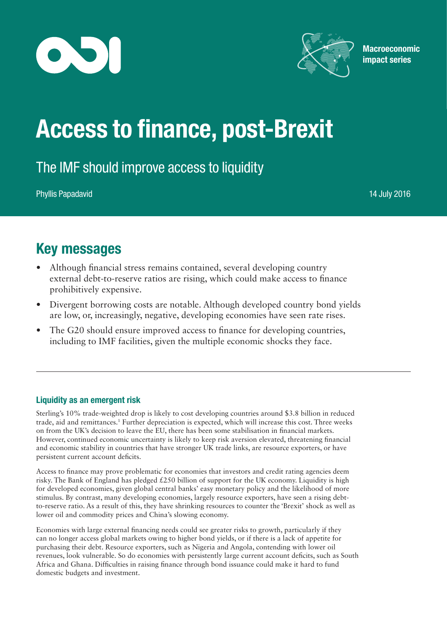



**Macroeconomic** impact series

# Access to finance, post-Brexit

# The IMF should improve access to liquidity

Phyllis Papadavid 14 July 2016

# Key messages

- Although financial stress remains contained, several developing country external debt-to-reserve ratios are rising, which could make access to finance prohibitively expensive.
- Divergent borrowing costs are notable. Although developed country bond yields are low, or, increasingly, negative, developing economies have seen rate rises.
- The G20 should ensure improved access to finance for developing countries, including to IMF facilities, given the multiple economic shocks they face.

## Liquidity as an emergent risk

Sterling's 10% trade-weighted drop is likely to cost developing countries around \$3.8 billion in reduced trade, aid and remittances.1 Further depreciation is expected, which will increase this cost. Three weeks on from the UK's decision to leave the EU, there has been some stabilisation in financial markets. However, continued economic uncertainty is likely to keep risk aversion elevated, threatening financial and economic stability in countries that have stronger UK trade links, are resource exporters, or have persistent current account deficits.

Access to finance may prove problematic for economies that investors and credit rating agencies deem risky. The Bank of England has pledged £250 billion of support for the UK economy. Liquidity is high for developed economies, given global central banks' easy monetary policy and the likelihood of more stimulus. By contrast, many developing economies, largely resource exporters, have seen a rising debtto-reserve ratio. As a result of this, they have shrinking resources to counter the 'Brexit' shock as well as lower oil and commodity prices and China's slowing economy.

Economies with large external financing needs could see greater risks to growth, particularly if they can no longer access global markets owing to higher bond yields, or if there is a lack of appetite for purchasing their debt. Resource exporters, such as Nigeria and Angola, contending with lower oil revenues, look vulnerable. So do economies with persistently large current account deficits, such as South Africa and Ghana. Difficulties in raising finance through bond issuance could make it hard to fund domestic budgets and investment.